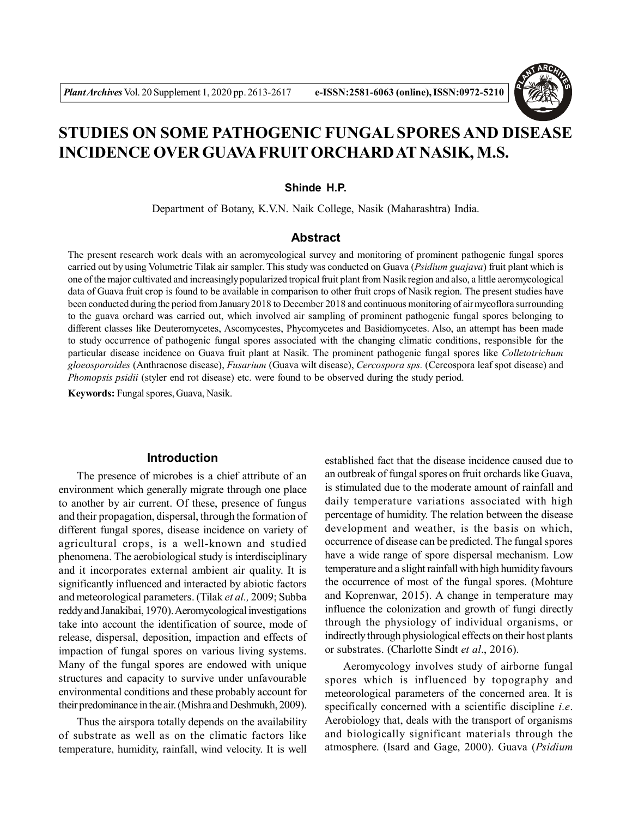

# **STUDIES ON SOME PATHOGENIC FUNGAL SPORES AND DISEASE INCIDENCE OVER GUAVA FRUIT ORCHARD AT NASIK, M.S.**

#### **Shinde H.P.**

Department of Botany, K.V.N. Naik College, Nasik (Maharashtra) India.

## **Abstract**

The present research work deals with an aeromycological survey and monitoring of prominent pathogenic fungal spores carried out by using Volumetric Tilak air sampler. This study was conducted on Guava (*Psidium guajava*) fruit plant which is one of the major cultivated and increasingly popularized tropical fruit plant from Nasik region and also, a little aeromycological data of Guava fruit crop is found to be available in comparison to other fruit crops of Nasik region. The present studies have been conducted during the period from January 2018 to December 2018 and continuous monitoring of air mycoflora surrounding to the guava orchard was carried out, which involved air sampling of prominent pathogenic fungal spores belonging to different classes like Deuteromycetes, Ascomycestes, Phycomycetes and Basidiomycetes. Also, an attempt has been made to study occurrence of pathogenic fungal spores associated with the changing climatic conditions, responsible for the particular disease incidence on Guava fruit plant at Nasik. The prominent pathogenic fungal spores like *Colletotrichum gloeosporoides* (Anthracnose disease), *Fusarium* (Guava wilt disease), *Cercospora sps.* (Cercospora leaf spot disease) and *Phomopsis psidii* (styler end rot disease) etc. were found to be observed during the study period.

**Keywords:** Fungal spores, Guava, Nasik.

### **Introduction**

The presence of microbes is a chief attribute of an environment which generally migrate through one place to another by air current. Of these, presence of fungus and their propagation, dispersal, through the formation of different fungal spores, disease incidence on variety of agricultural crops, is a well-known and studied phenomena. The aerobiological study is interdisciplinary and it incorporates external ambient air quality. It is significantly influenced and interacted by abiotic factors and meteorological parameters. (Tilak *et al.,* 2009; Subba reddy and Janakibai, 1970). Aeromycological investigations take into account the identification of source, mode of release, dispersal, deposition, impaction and effects of impaction of fungal spores on various living systems. Many of the fungal spores are endowed with unique structures and capacity to survive under unfavourable environmental conditions and these probably account for their predominance in the air. (Mishra and Deshmukh, 2009).

Thus the airspora totally depends on the availability of substrate as well as on the climatic factors like temperature, humidity, rainfall, wind velocity. It is well established fact that the disease incidence caused due to an outbreak of fungal spores on fruit orchards like Guava, is stimulated due to the moderate amount of rainfall and daily temperature variations associated with high percentage of humidity. The relation between the disease development and weather, is the basis on which, occurrence of disease can be predicted. The fungal spores have a wide range of spore dispersal mechanism. Low temperature and a slight rainfall with high humidity favours the occurrence of most of the fungal spores. (Mohture and Koprenwar, 2015). A change in temperature may influence the colonization and growth of fungi directly through the physiology of individual organisms, or indirectly through physiological effects on their host plants or substrates. (Charlotte Sindt *et al*., 2016).

Aeromycology involves study of airborne fungal spores which is influenced by topography and meteorological parameters of the concerned area. It is specifically concerned with a scientific discipline *i.e*. Aerobiology that, deals with the transport of organisms and biologically significant materials through the atmosphere. (Isard and Gage, 2000). Guava (*Psidium*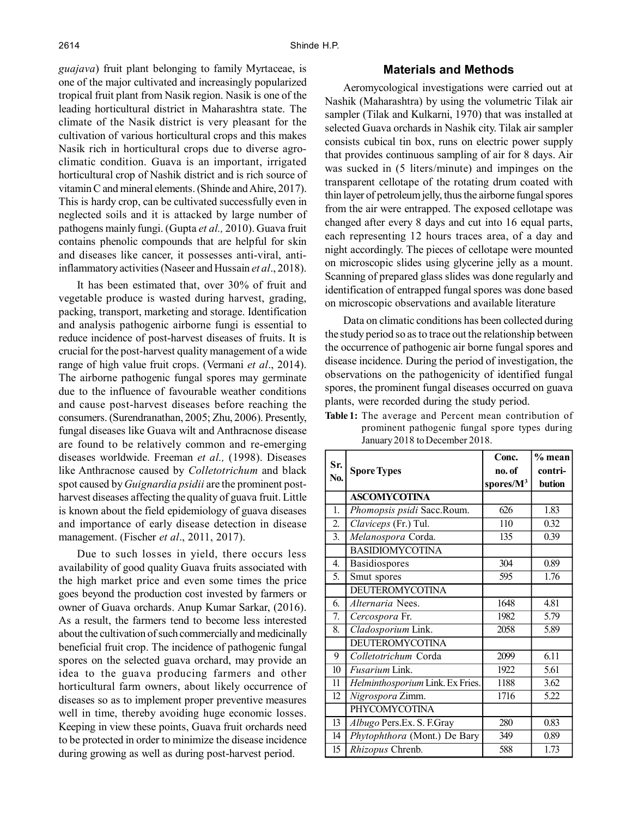*guajava*) fruit plant belonging to family Myrtaceae, is one of the major cultivated and increasingly popularized tropical fruit plant from Nasik region. Nasik is one of the leading horticultural district in Maharashtra state. The climate of the Nasik district is very pleasant for the cultivation of various horticultural crops and this makes Nasik rich in horticultural crops due to diverse agroclimatic condition. Guava is an important, irrigated horticultural crop of Nashik district and is rich source of vitamin C and mineral elements. (Shinde and Ahire, 2017). This is hardy crop, can be cultivated successfully even in neglected soils and it is attacked by large number of pathogens mainly fungi. (Gupta *et al.,* 2010). Guava fruit contains phenolic compounds that are helpful for skin and diseases like cancer, it possesses anti-viral, antiinflammatory activities (Naseer and Hussain *et al*., 2018).

It has been estimated that, over 30% of fruit and vegetable produce is wasted during harvest, grading, packing, transport, marketing and storage. Identification and analysis pathogenic airborne fungi is essential to reduce incidence of post-harvest diseases of fruits. It is crucial for the post-harvest quality management of a wide range of high value fruit crops. (Vermani *et al*., 2014). The airborne pathogenic fungal spores may germinate due to the influence of favourable weather conditions and cause post-harvest diseases before reaching the consumers. (Surendranathan, 2005; Zhu, 2006). Presently, fungal diseases like Guava wilt and Anthracnose disease are found to be relatively common and re-emerging diseases worldwide. Freeman *et al.,* (1998). Diseases like Anthracnose caused by *Colletotrichum* and black spot caused by *Guignardia psidii* are the prominent postharvest diseases affecting the quality of guava fruit. Little is known about the field epidemiology of guava diseases and importance of early disease detection in disease management. (Fischer *et al*., 2011, 2017).

Due to such losses in yield, there occurs less availability of good quality Guava fruits associated with the high market price and even some times the price goes beyond the production cost invested by farmers or owner of Guava orchards. Anup Kumar Sarkar, (2016). As a result, the farmers tend to become less interested about the cultivation of such commercially and medicinally beneficial fruit crop. The incidence of pathogenic fungal spores on the selected guava orchard, may provide an idea to the guava producing farmers and other horticultural farm owners, about likely occurrence of diseases so as to implement proper preventive measures well in time, thereby avoiding huge economic losses. Keeping in view these points, Guava fruit orchards need to be protected in order to minimize the disease incidence during growing as well as during post-harvest period.

## **Materials and Methods**

Aeromycological investigations were carried out at Nashik (Maharashtra) by using the volumetric Tilak air sampler (Tilak and Kulkarni, 1970) that was installed at selected Guava orchards in Nashik city. Tilak air sampler consists cubical tin box, runs on electric power supply that provides continuous sampling of air for 8 days. Air was sucked in (5 liters/minute) and impinges on the transparent cellotape of the rotating drum coated with thin layer of petroleum jelly, thus the airborne fungal spores from the air were entrapped. The exposed cellotape was changed after every 8 days and cut into 16 equal parts, each representing 12 hours traces area, of a day and night accordingly. The pieces of cellotape were mounted on microscopic slides using glycerine jelly as a mount. Scanning of prepared glass slides was done regularly and identification of entrapped fungal spores was done based on microscopic observations and available literature

Data on climatic conditions has been collected during the study period so as to trace out the relationship between the occurrence of pathogenic air borne fungal spores and disease incidence. During the period of investigation, the observations on the pathogenicity of identified fungal spores, the prominent fungal diseases occurred on guava plants, were recorded during the study period.

|     |                                  | Conc.                 | % mean  |
|-----|----------------------------------|-----------------------|---------|
| Sr. | <b>Spore Types</b>               | no. of                | contri- |
| No. |                                  | spores/M <sup>3</sup> | bution  |
|     | <b>ASCOMYCOTINA</b>              |                       |         |
| 1.  | Phomopsis psidi Sacc.Roum.       | 626                   | 1.83    |
| 2.  | Claviceps (Fr.) Tul.             | 110                   | 0.32    |
| 3.  | Melanospora Corda.               | 135                   | 0.39    |
|     | <b>BASIDIOMYCOTINA</b>           |                       |         |
| 4.  | Basidiospores                    | 304                   | 0.89    |
| 5.  | Smut spores                      | 595                   | 1.76    |
|     | <b>DEUTEROMYCOTINA</b>           |                       |         |
| 6.  | Alternaria Nees.                 | 1648                  | 4.81    |
| 7.  | Cercospora Fr.                   | 1982                  | 5.79    |
| 8.  | Cladosporium Link.               | 2058                  | 5.89    |
|     | <b>DEUTEROMYCOTINA</b>           |                       |         |
| 9   | Colletotrichum Corda             | 2099                  | 6.11    |
| 10  | Fusarium Link.                   | 1922                  | 5.61    |
| 11  | Helminthosporium Link. Ex Fries. | 1188                  | 3.62    |
| 12  | Nigrospora Zimm.                 | 1716                  | 5.22    |
|     | <b>PHYCOMYCOTINA</b>             |                       |         |
| 13  | Albugo Pers.Ex. S. F.Gray        | 280                   | 0.83    |
| 14  | Phytophthora (Mont.) De Bary     | 349                   | 0.89    |
| 15  | Rhizopus Chrenb.                 | 588                   | 1.73    |

| Table 1: The average and Percent mean contribution of |
|-------------------------------------------------------|
| prominent pathogenic fungal spore types during        |
| January 2018 to December 2018.                        |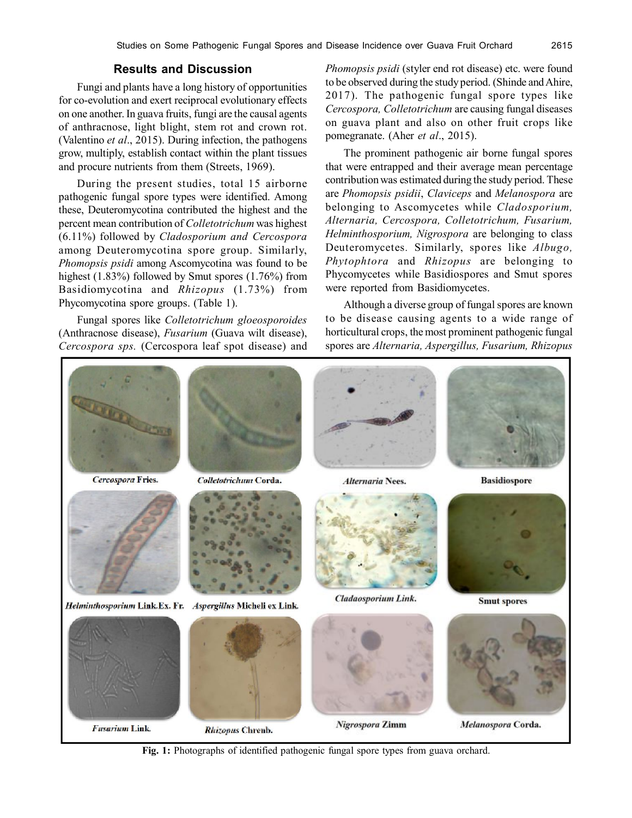## **Results and Discussion**

Fungi and plants have a long history of opportunities for co-evolution and exert reciprocal evolutionary effects on one another. In guava fruits, fungi are the causal agents of anthracnose, light blight, stem rot and crown rot. (Valentino *et al*., 2015). During infection, the pathogens grow, multiply, establish contact within the plant tissues and procure nutrients from them (Streets, 1969).

During the present studies, total 15 airborne pathogenic fungal spore types were identified. Among these, Deuteromycotina contributed the highest and the percent mean contribution of *Colletotrichum* was highest (6.11%) followed by *Cladosporium and Cercospora* among Deuteromycotina spore group. Similarly, *Phomopsis psidi* among Ascomycotina was found to be highest (1.83%) followed by Smut spores (1.76%) from Basidiomycotina and *Rhizopus* (1.73%) from Phycomycotina spore groups. (Table 1).

Fungal spores like *Colletotrichum gloeosporoides* (Anthracnose disease), *Fusarium* (Guava wilt disease), *Cercospora sps.* (Cercospora leaf spot disease) and *Phomopsis psidi* (styler end rot disease) etc. were found to be observed during the study period. (Shinde and Ahire, 2017). The pathogenic fungal spore types like *Cercospora, Colletotrichum* are causing fungal diseases on guava plant and also on other fruit crops like pomegranate. (Aher *et al*., 2015).

The prominent pathogenic air borne fungal spores that were entrapped and their average mean percentage contribution was estimated during the study period. These are *Phomopsis psidii*, *Claviceps* and *Melanospora* are belonging to Ascomycetes while *Cladosporium, Alternaria, Cercospora, Colletotrichum, Fusarium, Helminthosporium, Nigrospora* are belonging to class Deuteromycetes*.* Similarly, spores like *Albugo, Phytophtora* and *Rhizopus* are belonging to Phycomycetes while Basidiospores and Smut spores were reported from Basidiomycetes.

Although a diverse group of fungal spores are known to be disease causing agents to a wide range of horticultural crops, the most prominent pathogenic fungal spores are *Alternaria, Aspergillus, Fusarium, Rhizopus*



**Fig. 1:** Photographs of identified pathogenic fungal spore types from guava orchard.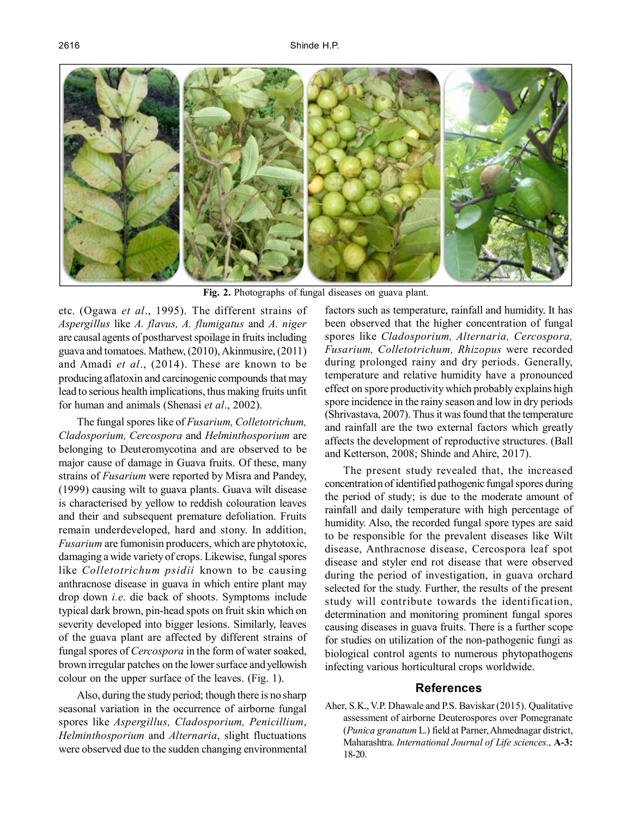

**Fig. 2.** Photographs of fungal diseases on guava plant.

etc. (Ogawa *et al*., 1995). The different strains of *Aspergillus* like *A. flavus, A. flumigatus* and *A. niger* are causal agents of postharvest spoilage in fruits including guava and tomatoes. Mathew, (2010), Akinmusire, (2011) and Amadi *et al*., (2014). These are known to be producing aflatoxin and carcinogenic compounds that may lead to serious health implications, thus making fruits unfit for human and animals (Shenasi *et al*., 2002).

The fungal spores like of *Fusarium, Colletotrichum, Cladosporium, Cercospora* and *Helminthosporium* are belonging to Deuteromycotina and are observed to be major cause of damage in Guava fruits. Of these, many strains of *Fusarium* were reported by Misra and Pandey, (1999) causing wilt to guava plants. Guava wilt disease is characterised by yellow to reddish colouration leaves and their and subsequent premature defoliation. Fruits remain underdeveloped, hard and stony. In addition, *Fusarium* are fumonisin producers, which are phytotoxic, damaging a wide variety of crops. Likewise, fungal spores like *Colletotrichum psidii* known to be causing anthracnose disease in guava in which entire plant may drop down *i.e*. die back of shoots. Symptoms include typical dark brown, pin-head spots on fruit skin which on severity developed into bigger lesions. Similarly, leaves of the guava plant are affected by different strains of fungal spores of *Cercospora* in the form of water soaked, brown irregular patches on the lower surface and yellowish colour on the upper surface of the leaves. (Fig. 1).

Also, during the study period; though there is no sharp seasonal variation in the occurrence of airborne fungal spores like *Aspergillus, Cladosporium, Penicillium*, *Helminthosporium* and *Alternaria*, slight fluctuations were observed due to the sudden changing environmental

factors such as temperature, rainfall and humidity. It has been observed that the higher concentration of fungal spores like *Cladosporium, Alternaria, Cercospora, Fusarium, Colletotrichum, Rhizopus* were recorded during prolonged rainy and dry periods. Generally, temperature and relative humidity have a pronounced effect on spore productivity which probably explains high spore incidence in the rainy season and low in dry periods (Shrivastava, 2007). Thus it was found that the temperature and rainfall are the two external factors which greatly affects the development of reproductive structures. (Ball and Ketterson, 2008; Shinde and Ahire, 2017).

The present study revealed that, the increased concentration of identified pathogenic fungal spores during the period of study; is due to the moderate amount of rainfall and daily temperature with high percentage of humidity. Also, the recorded fungal spore types are said to be responsible for the prevalent diseases like Wilt disease, Anthracnose disease, Cercospora leaf spot disease and styler end rot disease that were observed during the period of investigation, in guava orchard selected for the study. Further, the results of the present study will contribute towards the identification, determination and monitoring prominent fungal spores causing diseases in guava fruits. There is a further scope for studies on utilization of the non-pathogenic fungi as biological control agents to numerous phytopathogens infecting various horticultural crops worldwide.

## **References**

Aher, S.K., V.P. Dhawale and P.S. Baviskar (2015). Qualitative assessment of airborne Deuterospores over Pomegranate (*Punica granatum* L.) field at Parner, Ahmednagar district, Maharashtra. *International Journal of Life sciences.*, **A-3:** 18-20.